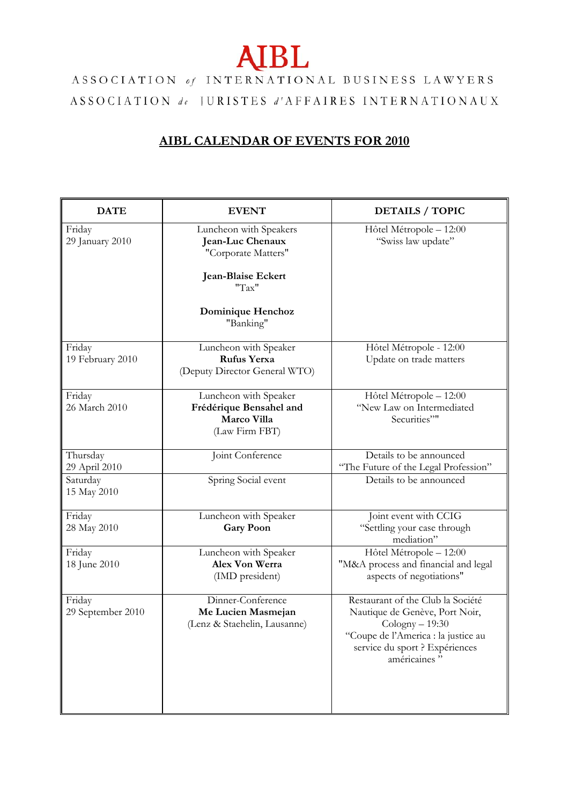## **AIBL**

ASSOCIATION of INTERNATIONAL BUSINESS LAWYERS ASSOCIATION de JURISTES d'AFFAIRES INTERNATIONAUX

## **AIBL CALENDAR OF EVENTS FOR 2010**

| <b>DATE</b>                 | <b>EVENT</b>                                                                                     | <b>DETAILS / TOPIC</b>                                                                                                                                                            |
|-----------------------------|--------------------------------------------------------------------------------------------------|-----------------------------------------------------------------------------------------------------------------------------------------------------------------------------------|
| Friday<br>29 January 2010   | Luncheon with Speakers<br>Jean-Luc Chenaux<br>"Corporate Matters"<br>Jean-Blaise Eckert<br>"Tax" | Hôtel Métropole - 12:00<br>"Swiss law update"                                                                                                                                     |
|                             | Dominique Henchoz<br>"Banking"                                                                   |                                                                                                                                                                                   |
| Friday<br>19 February 2010  | Luncheon with Speaker<br><b>Rufus Yerxa</b><br>(Deputy Director General WTO)                     | Hôtel Métropole - 12:00<br>Update on trade matters                                                                                                                                |
| Friday<br>26 March 2010     | Luncheon with Speaker<br>Frédérique Bensahel and<br>Marco Villa<br>(Law Firm FBT)                | Hôtel Métropole - 12:00<br>"New Law on Intermediated<br>Securities""                                                                                                              |
| Thursday<br>29 April 2010   | Joint Conference                                                                                 | Details to be announced<br>"The Future of the Legal Profession"                                                                                                                   |
| Saturday<br>15 May 2010     | Spring Social event                                                                              | Details to be announced                                                                                                                                                           |
| Friday<br>28 May 2010       | Luncheon with Speaker<br><b>Gary Poon</b>                                                        | Joint event with CCIG<br>"Settling your case through<br>mediation"                                                                                                                |
| Friday<br>18 June 2010      | Luncheon with Speaker<br>Alex Von Werra<br>(IMD president)                                       | Hôtel Métropole - 12:00<br>"M&A process and financial and legal<br>aspects of negotiations"                                                                                       |
| Friday<br>29 September 2010 | Dinner-Conference<br>Me Lucien Masmejan<br>(Lenz & Staehelin, Lausanne)                          | Restaurant of the Club la Société<br>Nautique de Genève, Port Noir,<br>$Cologny - 19:30$<br>"Coupe de l'America : la justice au<br>service du sport ? Expériences<br>américaines" |